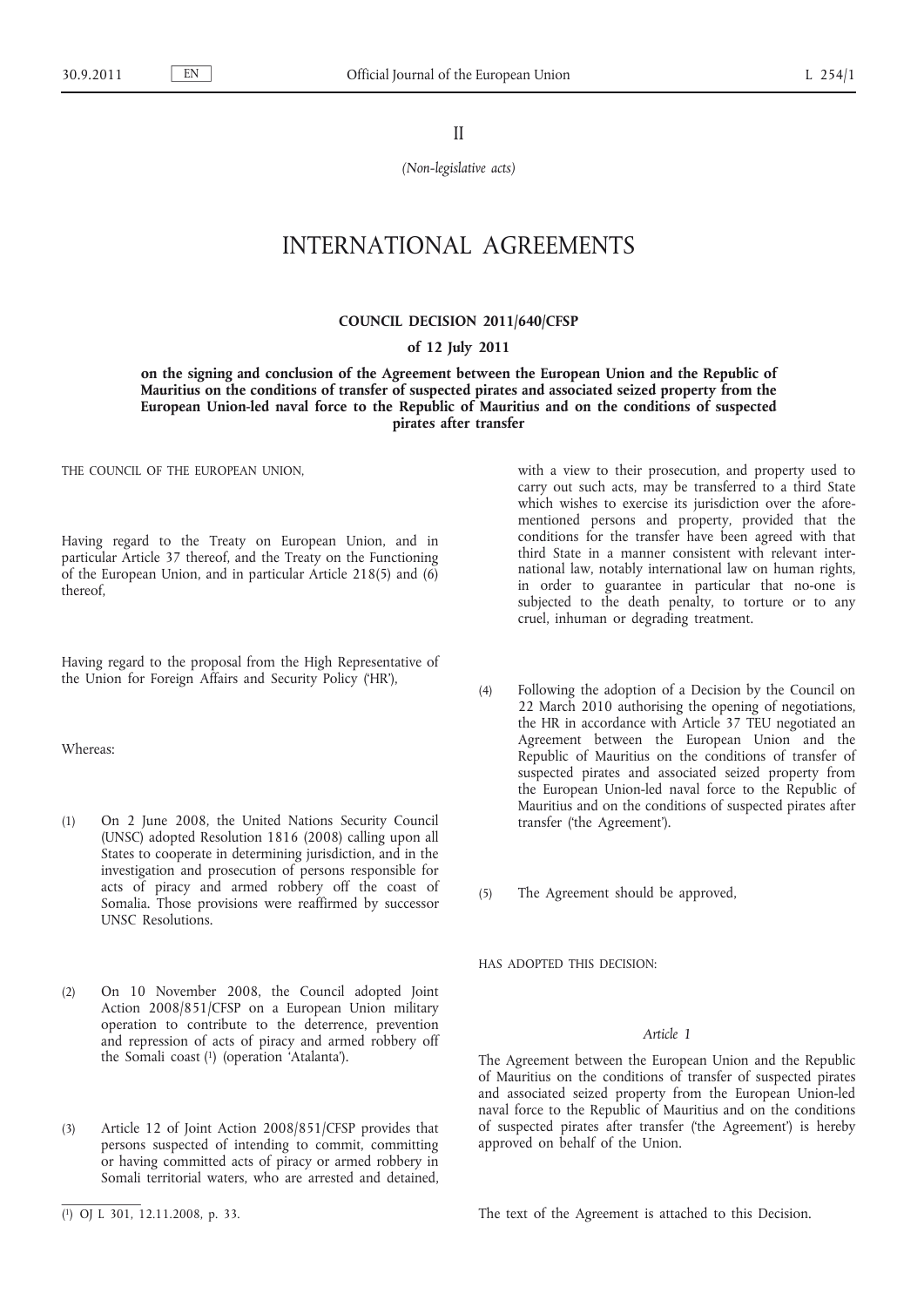II

*(Non-legislative acts)*

# INTERNATIONAL AGREEMENTS

#### **COUNCIL DECISION 2011/640/CFSP**

#### **of 12 July 2011**

**on the signing and conclusion of the Agreement between the European Union and the Republic of Mauritius on the conditions of transfer of suspected pirates and associated seized property from the European Union-led naval force to the Republic of Mauritius and on the conditions of suspected pirates after transfer**

THE COUNCIL OF THE EUROPEAN UNION,

Having regard to the Treaty on European Union, and in particular Article 37 thereof, and the Treaty on the Functioning of the European Union, and in particular Article 218(5) and (6) thereof,

Having regard to the proposal from the High Representative of the Union for Foreign Affairs and Security Policy ('HR'),

Whereas:

- (1) On 2 June 2008, the United Nations Security Council (UNSC) adopted Resolution 1816 (2008) calling upon all States to cooperate in determining jurisdiction, and in the investigation and prosecution of persons responsible for acts of piracy and armed robbery off the coast of Somalia. Those provisions were reaffirmed by successor UNSC Resolutions.
- (2) On 10 November 2008, the Council adopted Joint Action 2008/851/CFSP on a European Union military operation to contribute to the deterrence, prevention and repression of acts of piracy and armed robbery off the Somali coast (1) (operation 'Atalanta').
- (3) Article 12 of Joint Action 2008/851/CFSP provides that persons suspected of intending to commit, committing or having committed acts of piracy or armed robbery in Somali territorial waters, who are arrested and detained.

with a view to their prosecution, and property used to carry out such acts, may be transferred to a third State which wishes to exercise its jurisdiction over the aforementioned persons and property, provided that the conditions for the transfer have been agreed with that third State in a manner consistent with relevant international law, notably international law on human rights, in order to guarantee in particular that no-one is subjected to the death penalty, to torture or to any cruel, inhuman or degrading treatment.

(4) Following the adoption of a Decision by the Council on 22 March 2010 authorising the opening of negotiations, the HR in accordance with Article 37 TEU negotiated an Agreement between the European Union and the Republic of Mauritius on the conditions of transfer of suspected pirates and associated seized property from the European Union-led naval force to the Republic of Mauritius and on the conditions of suspected pirates after transfer ('the Agreement').

(5) The Agreement should be approved,

HAS ADOPTED THIS DECISION:

### *Article 1*

The Agreement between the European Union and the Republic of Mauritius on the conditions of transfer of suspected pirates and associated seized property from the European Union-led naval force to the Republic of Mauritius and on the conditions of suspected pirates after transfer ('the Agreement') is hereby approved on behalf of the Union.

The text of the Agreement is attached to this Decision.

<sup>(</sup> 1) OJ L 301, 12.11.2008, p. 33.